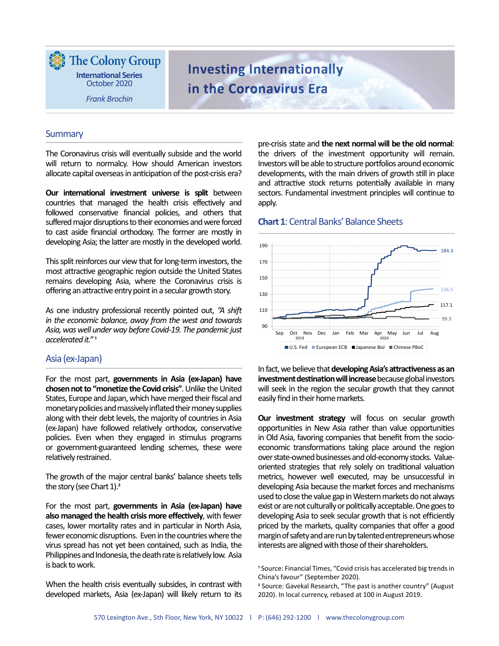The Colony Group **International Series** October 2020

Frank Brochin

# Investing Internationally in the Coronavirus Era

### **Summary**

The Coronavirus crisis will eventually subside and the world will return to normalcy. How should American investors allocate capital overseas in anticipation of the post-crisis era?

Our international investment universe is split between countries that managed the health crisis effectively and followed conservative financial policies, and others that suffered major disruptions to their economies and were forced to cast aside financial orthodoxy. The former are mostly in developing Asia; the latter are mostly in the developed world.

This split reinforces our view that for long-term investors, the most attractive geographic region outside the United States remains developing Asia, where the Coronavirus crisis is offering an attractive entry point in a secular growth story.

As one industry professional recently pointed out, "A shift in the economic balance, away from the west and towards Asia, was well under way before Covid-19. The pandemic just accelerated it."<sup>1</sup>

### Asia (ex-Japan)

For the most part, governments in Asia (ex-Japan) have chosen not to "monetize the Covid crisis". Unlike the United States, Europe and Japan, which have merged their fiscal and monetary policies and massively inflated their money supplies along with their debt levels, the majority of countries in Asia (ex-Japan) have followed relatively orthodox, conservative policies. Even when they engaged in stimulus programs or government-guaranteed lending schemes, these were relatively restrained.

The growth of the major central banks' balance sheets tells the story (see Chart  $1$ ).<sup>2</sup>

For the most part, governments in Asia (ex-Japan) have also managed the health crisis more effectively, with fewer cases, lower mortality rates and in particular in North Asia, fewer economic disruptions. Even in the countries where the virus spread has not yet been contained, such as India, the Philippines and Indonesia, the death rate is relatively low. Asia is back to work.

When the health crisis eventually subsides, in contrast with developed markets, Asia (ex-Japan) will likely return to its

pre-crisis state and the next normal will be the old normal: the drivers of the investment opportunity will remain. Investors will be able to structure portfolios around economic developments, with the main drivers of growth still in place and attractive stock returns potentially available in many sectors. Fundamental investment principles will continue to apply.

#### Chart 1: Central Banks' Balance Sheets



In fact, we believe that developing Asia's attractiveness as an investment destination will increase because global investors will seek in the region the secular growth that they cannot easily find in their home markets.

Our investment strategy will focus on secular growth opportunities in New Asia rather than value opportunities in Old Asia, favoring companies that benefit from the socioeconomic transformations taking place around the region over state-owned businesses and old-economy stocks. Valueoriented strategies that rely solely on traditional valuation metrics, however well executed, may be unsuccessful in developing Asia because the market forces and mechanisms used to close the value gap in Western markets do not always exist or are not culturally or politically acceptable. One goes to developing Asia to seek secular growth that is not efficiently priced by the markets, quality companies that offer a good margin of safety and are run by talented entrepreneurs whose interests are aligned with those of their shareholders.

<sup>&</sup>lt;sup>1</sup> Source: Financial Times, "Covid crisis has accelerated big trends in China's favour" (September 2020).

<sup>&</sup>lt;sup>2</sup> Source: Gavekal Research, "The past is another country" (August 2020). In local currency, rebased at 100 in August 2019.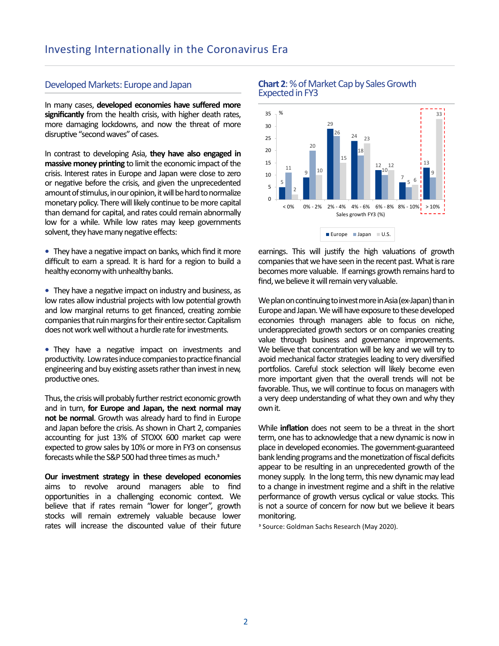### Developed Markets: Europe and Japan

In many cases, developed economies have suffered more significantly from the health crisis, with higher death rates, more damaging lockdowns, and now the threat of more disruptive "second waves" of cases.

In contrast to developing Asia, they have also engaged in massive money printing to limit the economic impact of the crisis. Interest rates in Europe and Japan were close to zero or negative before the crisis, and given the unprecedented amount of stimulus, in our opinion, it will be hard to normalize monetary policy. There will likely continue to be more capital than demand for capital, and rates could remain abnormally low for a while. While low rates may keep governments solvent, they have many negative effects:

• They have a negative impact on banks, which find it more difficult to earn a spread. It is hard for a region to build a healthy economy with unhealthy banks.

- They have a negative impact on industry and business, as low rates allow industrial projects with low potential growth and low marginal returns to get financed, creating zombie companies that ruin margins for their entire sector. Capitalism does not work well without a hurdle rate for investments.
- They have a negative impact on investments and productivity. Low rates induce companies to practice financial engineering and buy existing assets rather than invest in new, productive ones.

Thus, the crisis will probably further restrict economic growth and in turn, for Europe and Japan, the next normal may not be normal. Growth was already hard to find in Europe and Japan before the crisis. As shown in Chart 2, companies accounting for just 13% of STOXX 600 market cap were expected to grow sales by 10% or more in FY3 on consensus forecasts while the S&P 500 had three times as much. $<sup>3</sup>$ </sup>

Our investment strategy in these developed economies aims to revolve around managers able to find opportunities in a challenging economic context. We believe that if rates remain "lower for longer", growth stocks will remain extremely valuable because lower rates will increase the discounted value of their future <sup>3</sup> Source: Goldman Sachs Research (May 2020).

## Chart 2: % of Market Cap by Sales Growth Expected in FY3



earnings. This will justify the high valuations of growth companies that we have seen in the recent past. What is rare becomes more valuable. If earnings growth remains hard to find, we believe it will remain very valuable.

We plan on continuing to invest more in Asia (ex-Japan) than in Europe and Japan. We will have exposure to these developed economies through managers able to focus on niche, underappreciated growth sectors or on companies creating value through business and governance improvements. We believe that concentration will be key and we will try to avoid mechanical factor strategies leading to very diversified portfolios. Careful stock selection will likely become even more important given that the overall trends will not be favorable. Thus, we will continue to focus on managers with a very deep understanding of what they own and why they own it.

While **inflation** does not seem to be a threat in the short term, one has to acknowledge that a new dynamic is now in place in developed economies. The government-guaranteed bank lending programs and the monetization of fiscal deficits appear to be resulting in an unprecedented growth of the money supply. In the long term, this new dynamic may lead to a change in investment regime and a shift in the relative performance of growth versus cyclical or value stocks. This is not a source of concern for now but we believe it bears monitoring.